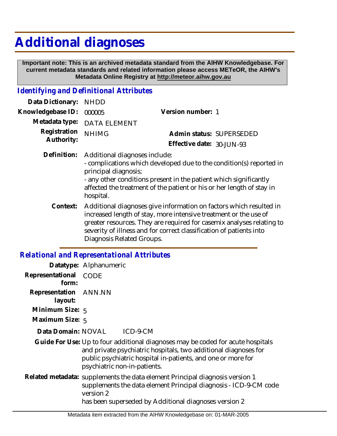# **Additional diagnoses**

 **Important note: This is an archived metadata standard from the AIHW Knowledgebase. For current metadata standards and related information please access METeOR, the AIHW's Metadata Online Registry at http://meteor.aihw.gov.au**

# *Identifying and Definitional Attributes*

| Data Dictionary: NHDD    |                                           |                              |                          |
|--------------------------|-------------------------------------------|------------------------------|--------------------------|
| Knowledgebase ID: 000005 |                                           | Version number: 1            |                          |
|                          | Metadata type: DATA ELEMENT               |                              |                          |
| Registration NHIMG       |                                           |                              | Admin status: SUPERSEDED |
| Authority:               |                                           | Effective date: $30$ -JUN-93 |                          |
|                          | Definition: Additional diagnoses include: |                              |                          |

- complications which developed due to the condition(s) reported in principal diagnosis; - any other conditions present in the patient which significantly

affected the treatment of the patient or his or her length of stay in hospital.

Additional diagnoses give information on factors which resulted in increased length of stay, more intensive treatment or the use of greater resources. They are required for casemix analyses relating to severity of illness and for correct classification of patients into Diagnosis Related Groups. **Context:**

# *Relational and Representational Attributes*

|                                  | Datatype: Alphanumeric                                                                                                                                                                                                                             |
|----------------------------------|----------------------------------------------------------------------------------------------------------------------------------------------------------------------------------------------------------------------------------------------------|
| Representational CODE<br>form:   |                                                                                                                                                                                                                                                    |
| Representation ANN.NN<br>layout: |                                                                                                                                                                                                                                                    |
| Minimum Size: 5                  |                                                                                                                                                                                                                                                    |
| Maximum Size: 5                  |                                                                                                                                                                                                                                                    |
|                                  | Data Domain: NOVAL ICD-9-CM                                                                                                                                                                                                                        |
|                                  | Guide For Use: Up to four additional diagnoses may be coded for acute hospitals<br>and private psychiatric hospitals, two additional diagnoses for<br>public psychiatric hospital in-patients, and one or more for<br>psychiatric non-in-patients. |
|                                  | Related metadata: supplements the data element Principal diagnosis version 1<br>supplements the data element Principal diagnosis - ICD-9-CM code<br>version 2<br>has been superseded by Additional diagnoses version 2                             |
|                                  |                                                                                                                                                                                                                                                    |